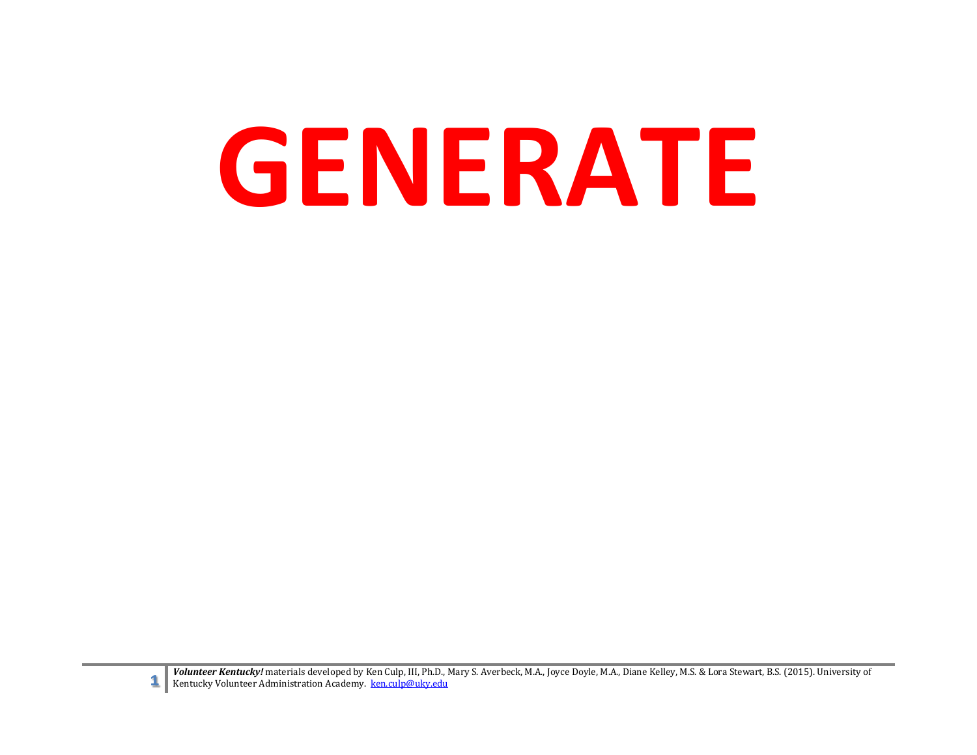# **GENERATE**

**1** Volunteer Kentucky! materials developed by Ken Culp, III, Ph.D., Mary S. Averbeck, M.A., Joyce Doyle, M.A., Diane Kelley, M.S. & Lora Stewart, B.S. (2015). University of Kentucky Volunteer Administration Academy. ken.c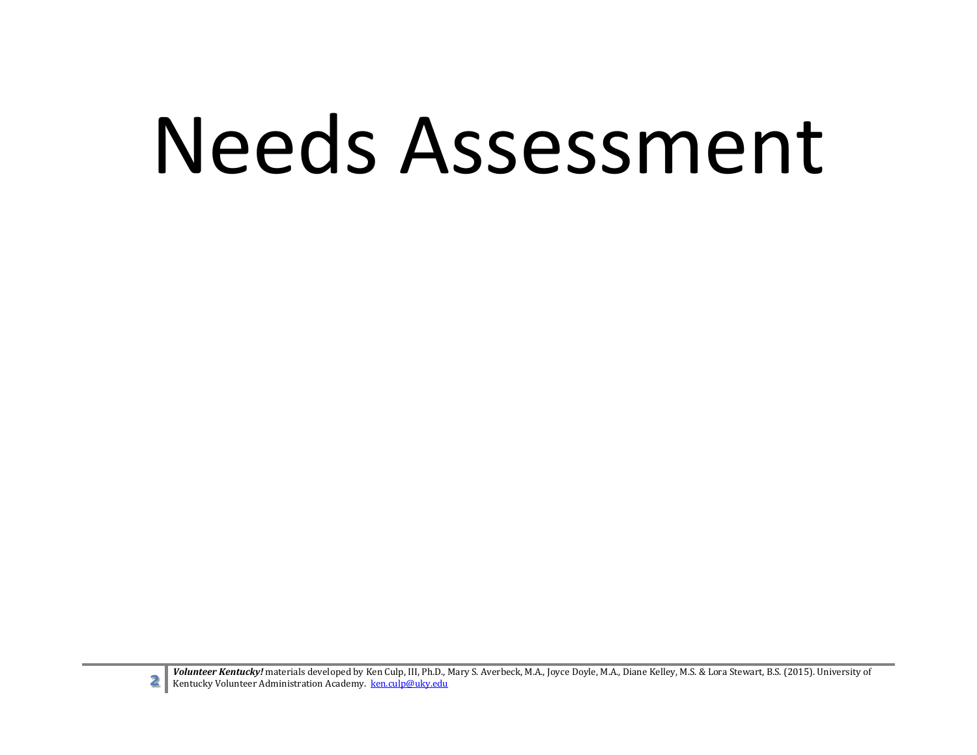### Needs Assessment

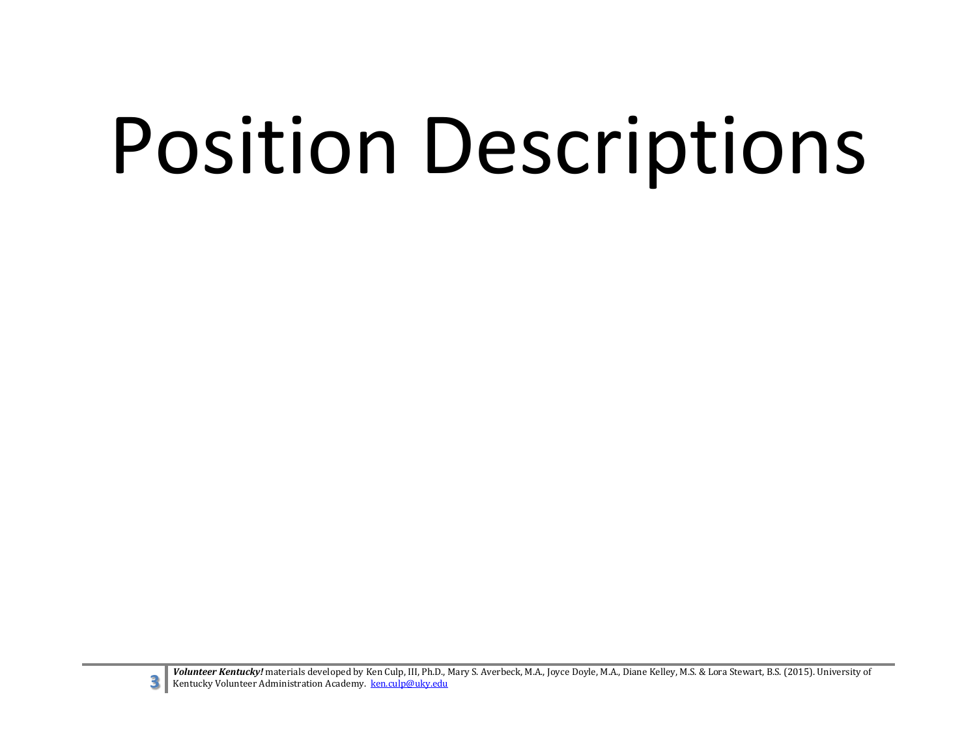# Position Descriptions

**3** *Volunteer Kentucky!* materials developed by Ken Culp, III, Ph.D., Mary S. Averbeck, M.A., Joyce Doyle, M.A., Diane Kelley, M.S. & Lora Stewart, B.S. (2015). University of Kentucky Volunteer Administration Academy. ken Kentucky Volunteer Administration Academy. [ken.culp@uky.edu](mailto:ken.culp@uky.edu)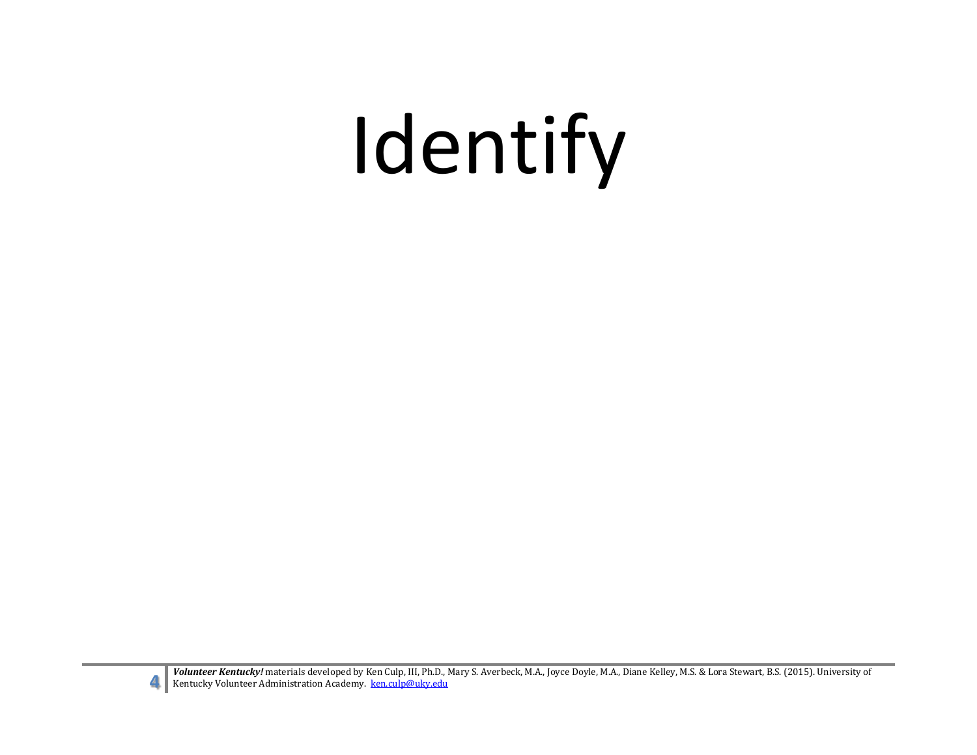# Identify



**Volunteer Kentucky!** materials developed by Ken Culp, III, Ph.D., Mary S. Averbeck, M.A., Joyce Doyle, M.A., Diane Kelley, M.S. & Lora Stewart, B.S. (2015). University of Kentucky Volunteer Administration Academy. <u>ken cu</u>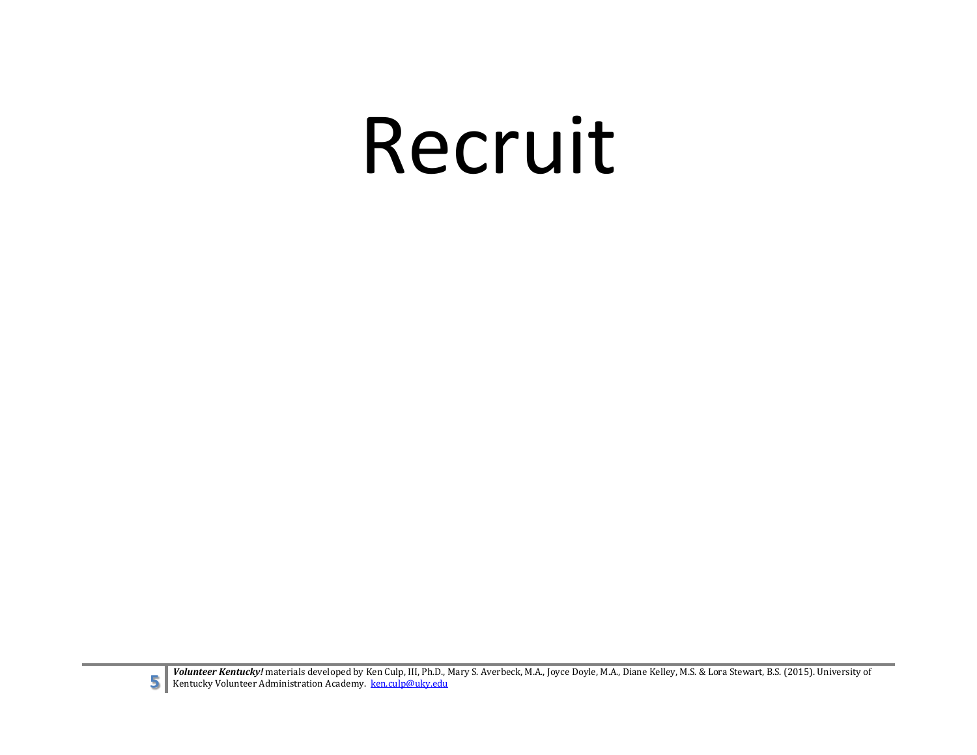### Recruit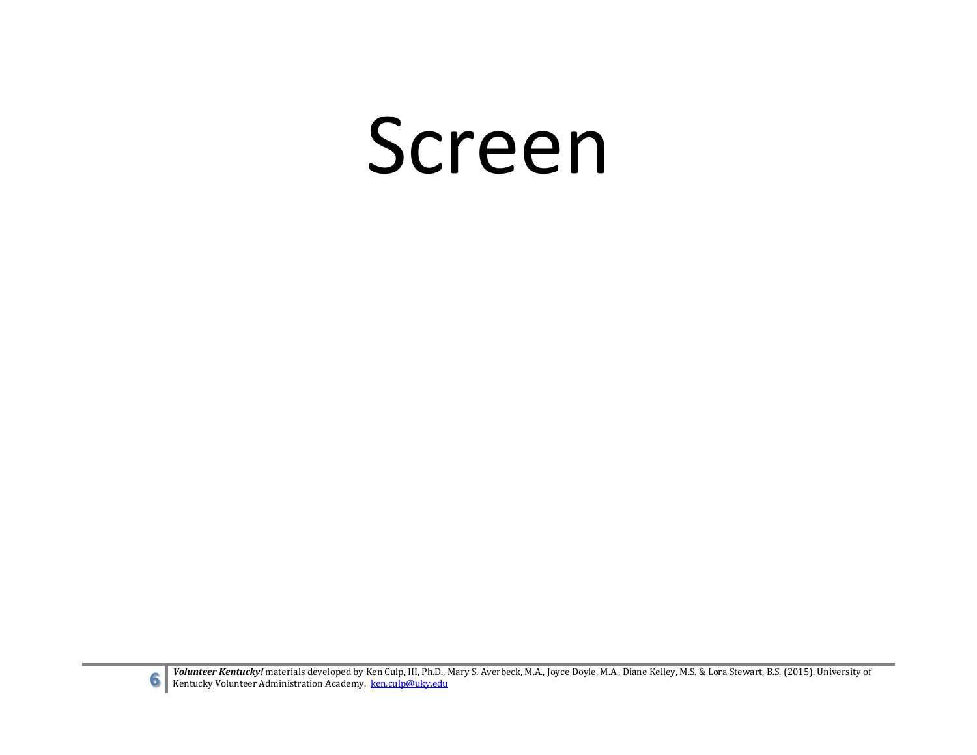#### Screen

**6** Volunteer Kentucky! materials developed by Ken Culp, III, Ph.D., Mary S. Averbeck, M.A., Joyce Doyle, M.A., Diane Kelley, M.S. & Lora Stewart, B.S. (2015). University of Kentucky Volunteer Administration Academy. ken.c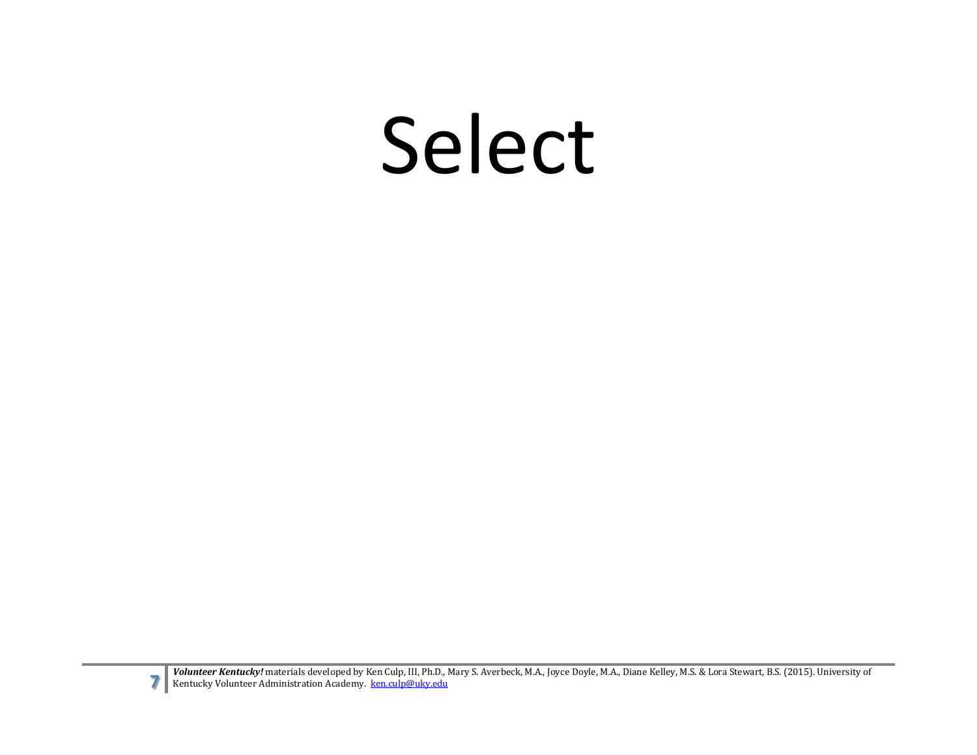### Select

**Volunteer Kentucky!** materials developed by Ken Culp, III, Ph.D., Mary S. Averbeck, M.A., Joyce Doyle, M.A., Diane Kelley, M.S. & Lora Stewart, B.S. (2015). University of Kentucky Volunteer Administration Academy. <u>ken.cu</u>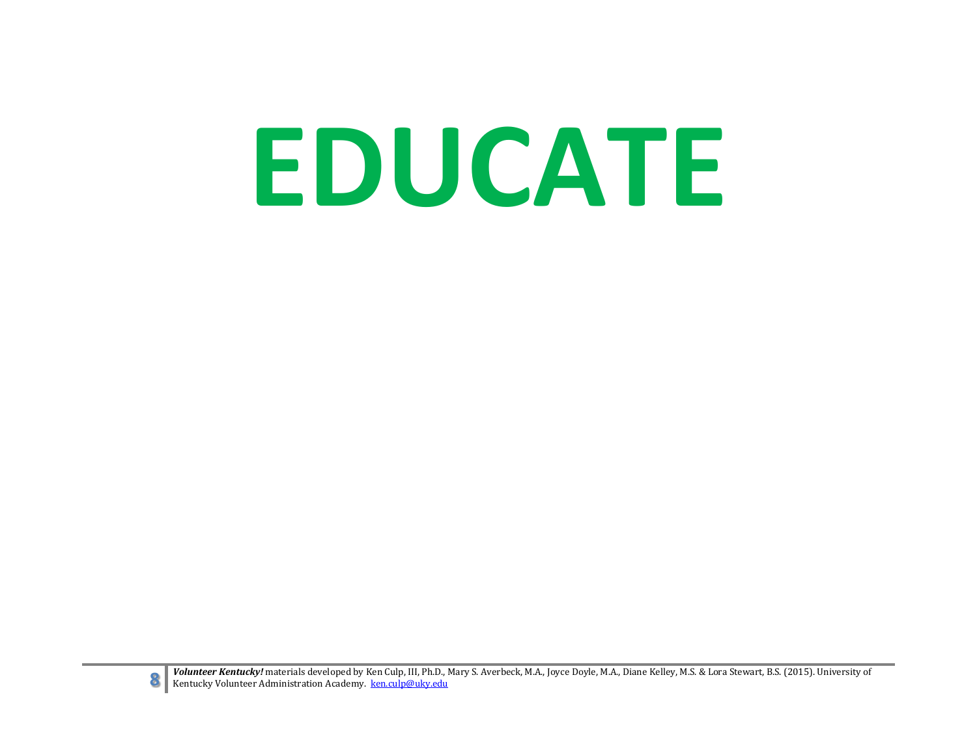# **EDUCATE**



**8** Volunteer Kentucky! materials developed by Ken Culp, III, Ph.D., Mary S. Averbeck, M.A., Joyce Doyle, M.A., Diane Kelley, M.S. & Lora Stewart, B.S. (2015). University of Kentucky Volunteer Administration Academy. <u>ken.</u>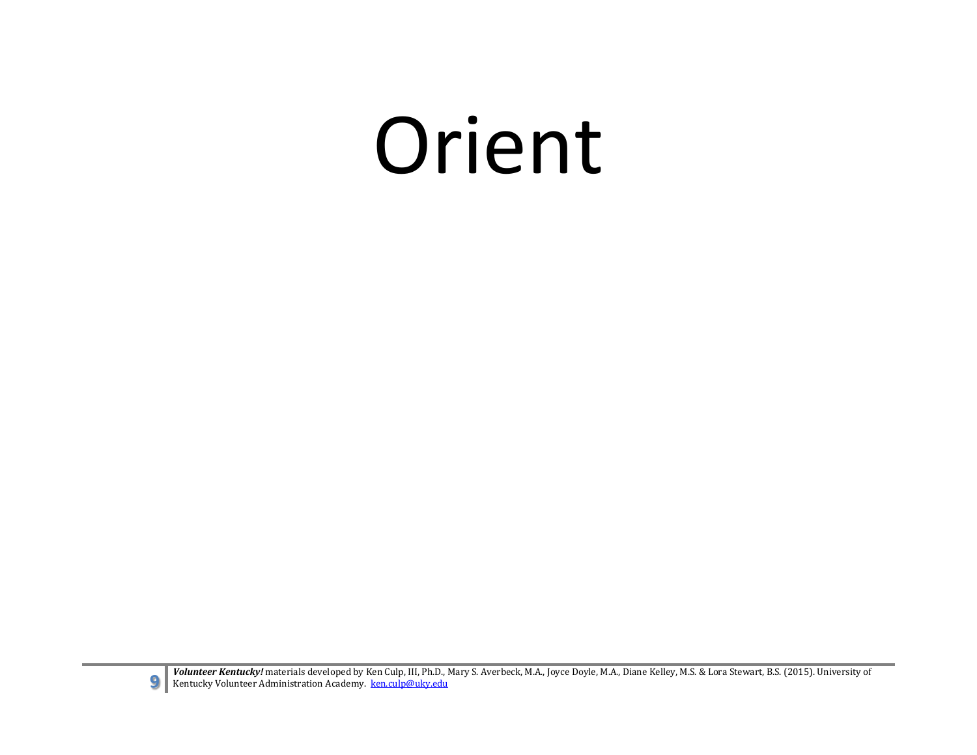### Orient

**Volunteer Kentucky!** materials developed by Ken Culp, III, Ph.D., Mary S. Averbeck, M.A., Joyce Doyle, M.A., Diane Kelley, M.S. & Lora Stewart, B.S. (2015). University of Kentucky Volunteer Administration Academy. <u>ken.cu</u>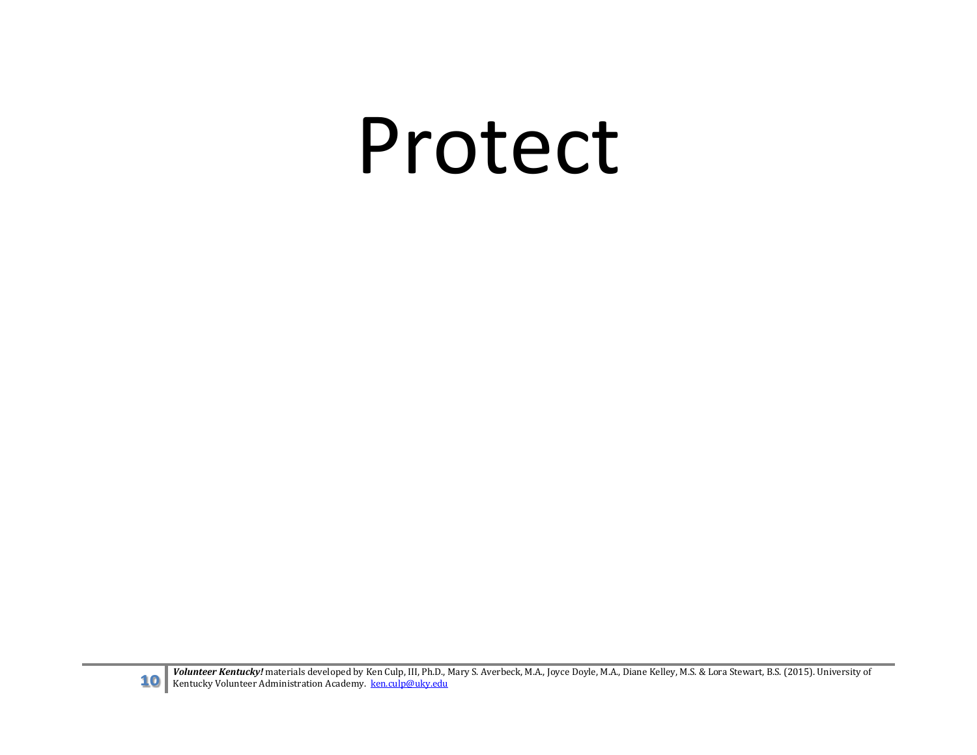#### Protect

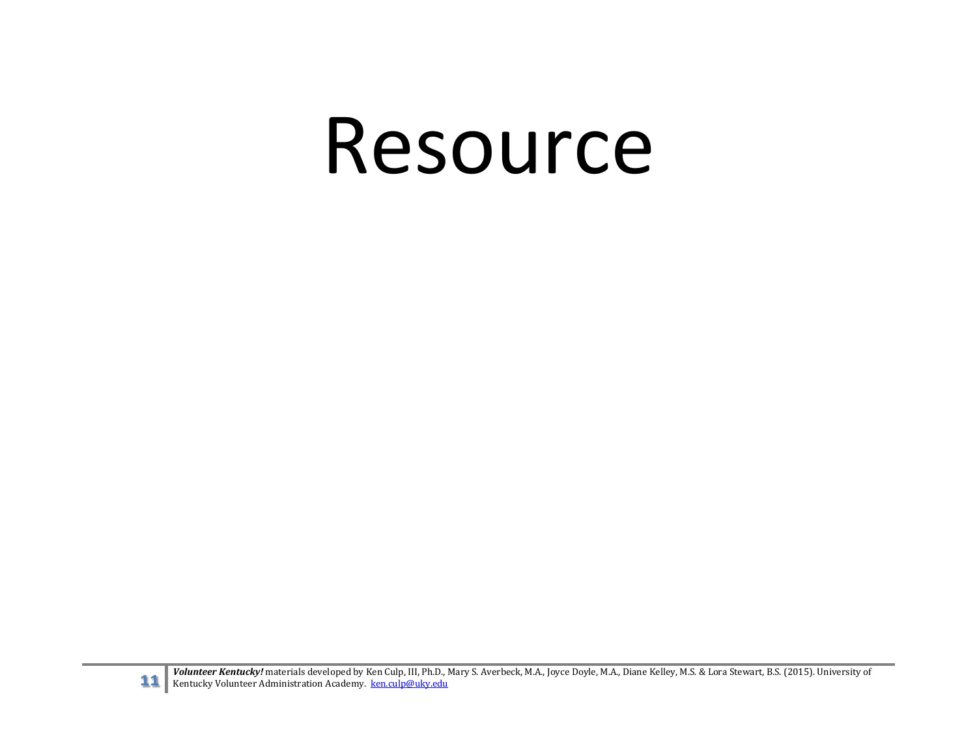#### Resource

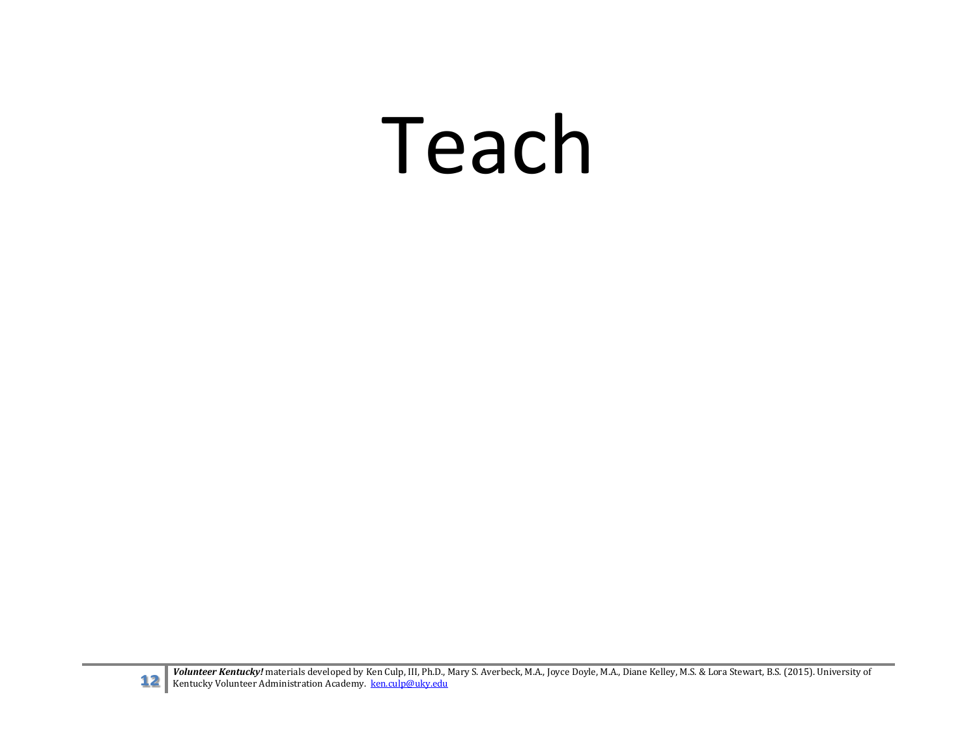### Teach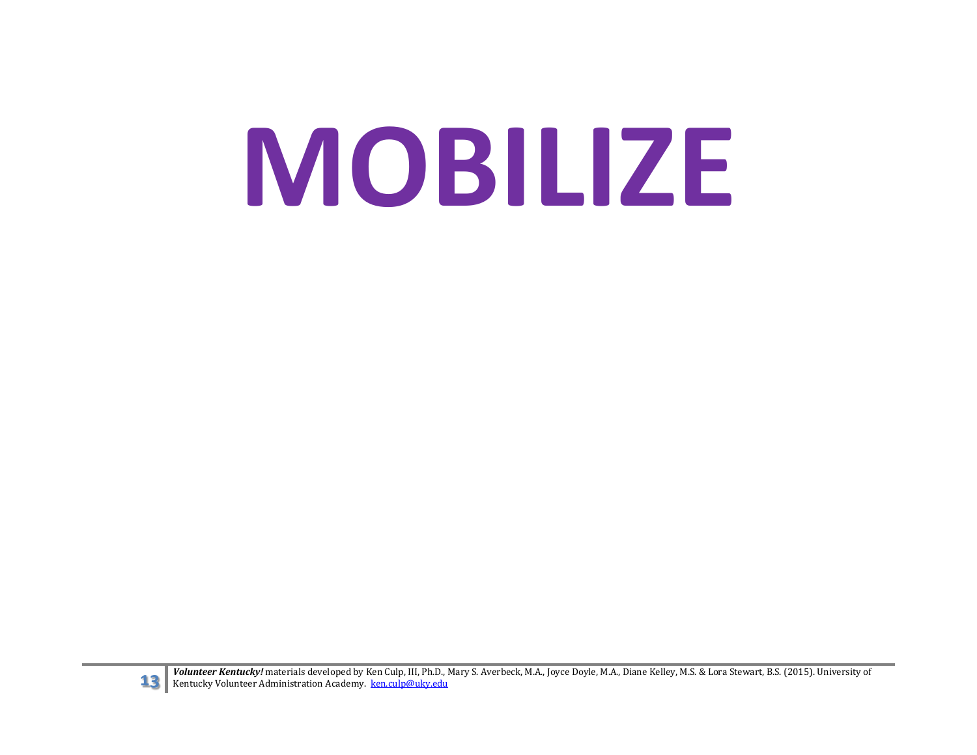# **MOBILIZE**



**13** Volunteer Kentucky! materials developed by Ken Culp, III, Ph.D., Mary S. Averbeck, M.A., Joyce Doyle, M.A., Diane Kelley, M.S. & Lora Stewart, B.S. (2015). University of Kentucky Volunteer Administration Academy. ken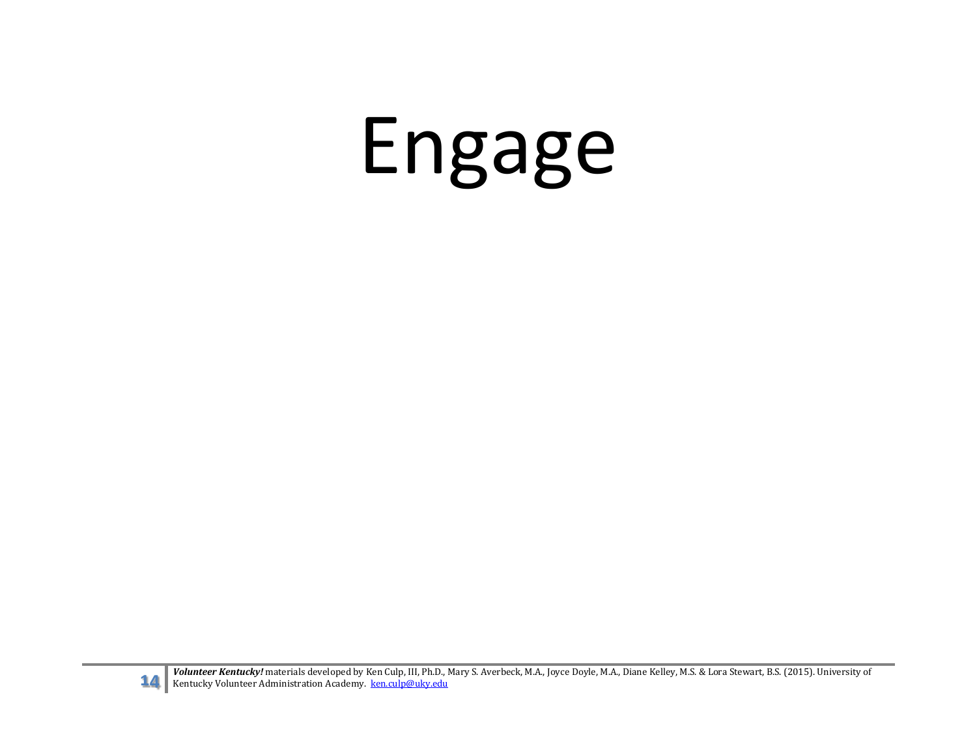## Engage



**14** *Volunteer Kentucky!* materials developed by Ken Culp, III, Ph.D., Mary S. Averbeck, M.A., Joyce Doyle, M.A., Diane Kelley, M.S. & Lora Stewart, B.S. (2015). University of Kentucky Volunteer Administration Academy. ke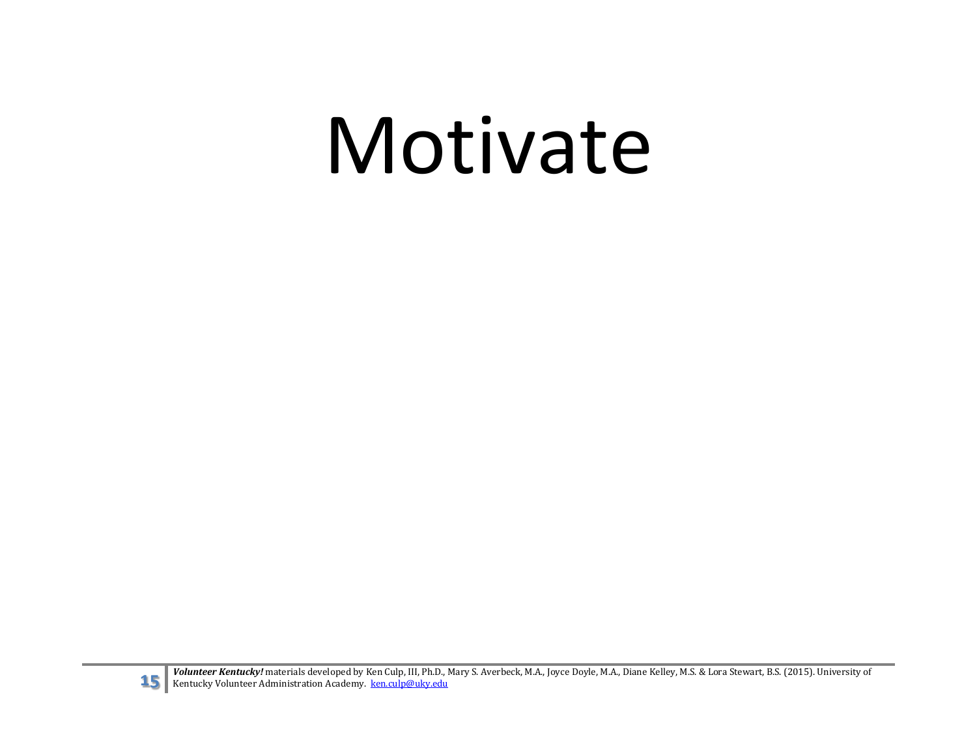### Motivate

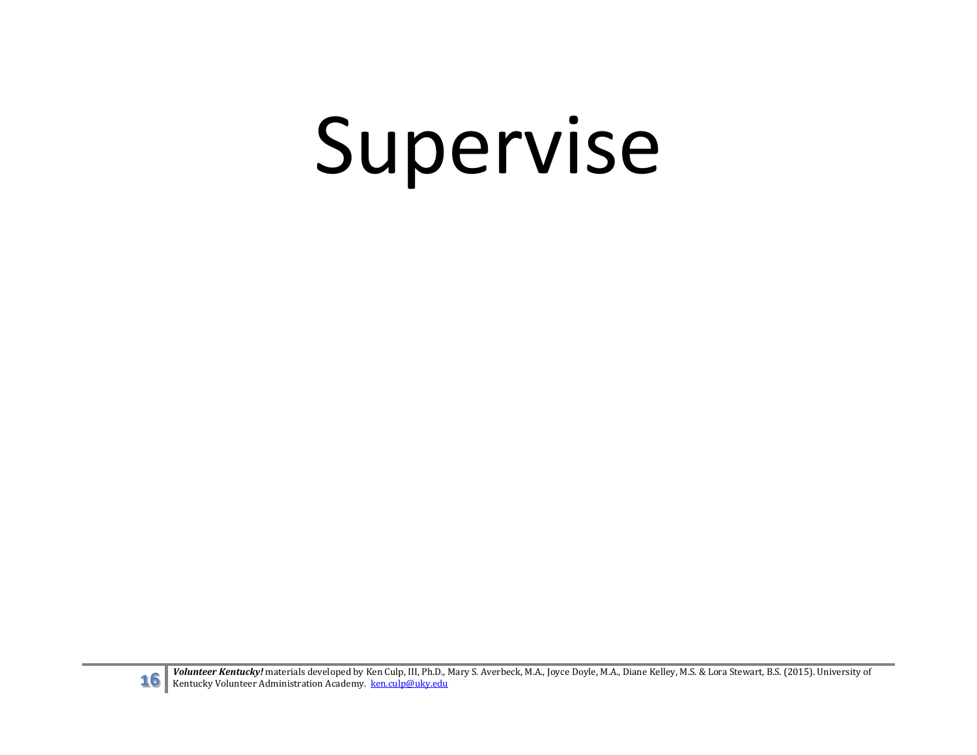## Supervise

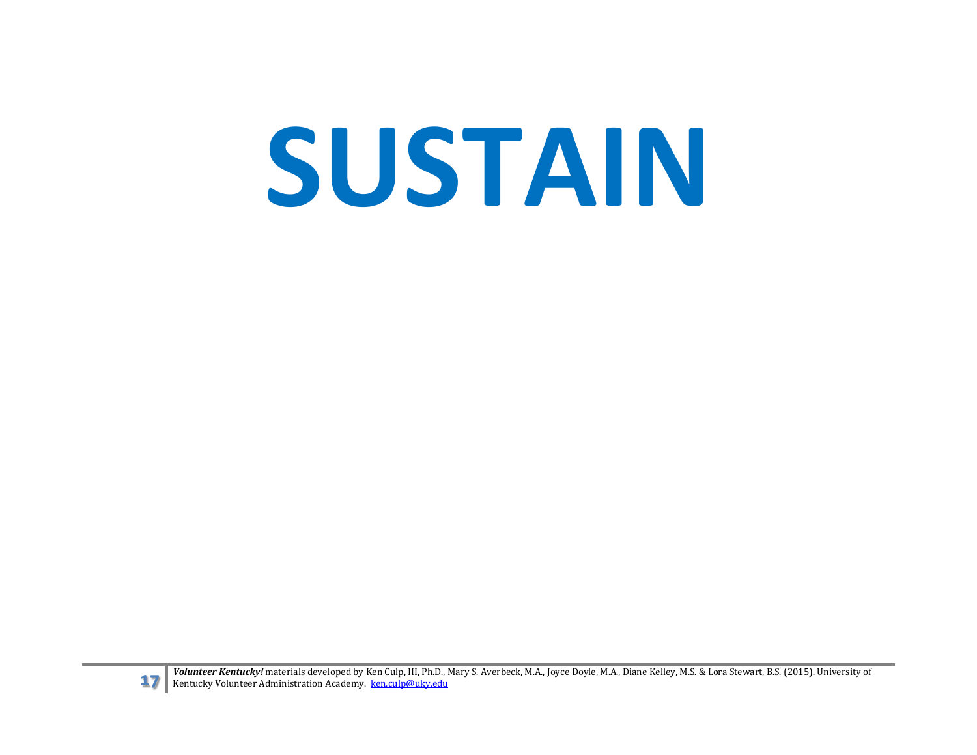# **SUSTAIN**



**17 Volunteer Kentucky!** materials developed by Ken Culp, III, Ph.D., Mary S. Averbeck, M.A., Joyce Doyle, M.A., Diane Kelley, M.S. & Lora Stewart, B.S. (2015). University of Kentucky Volunteer Administration Academy. ken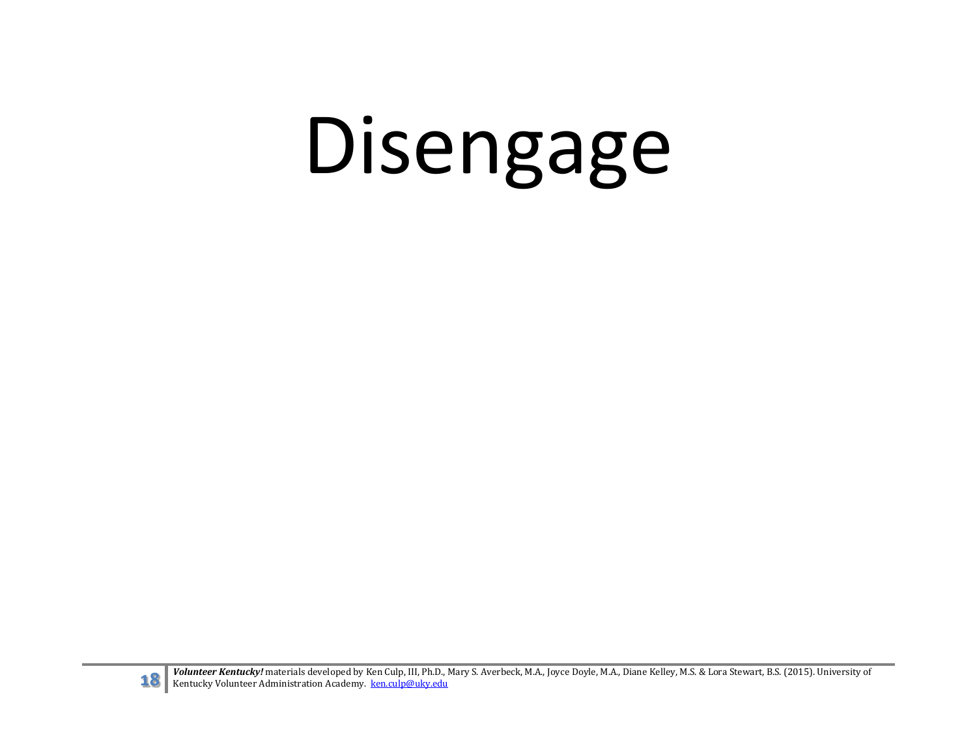# Disengage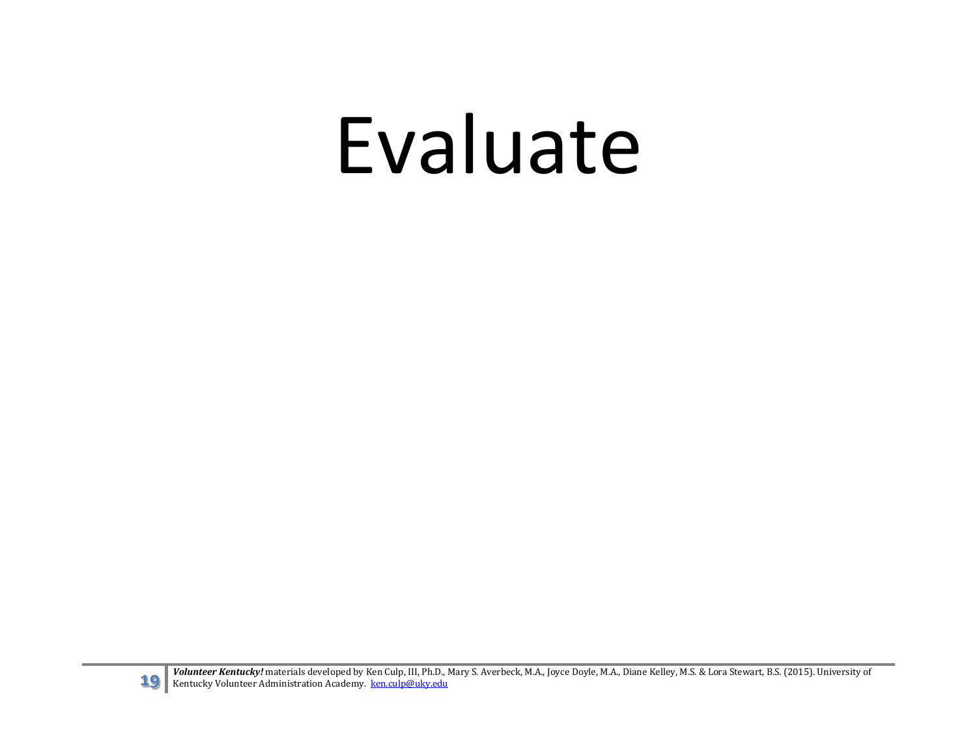### Evaluate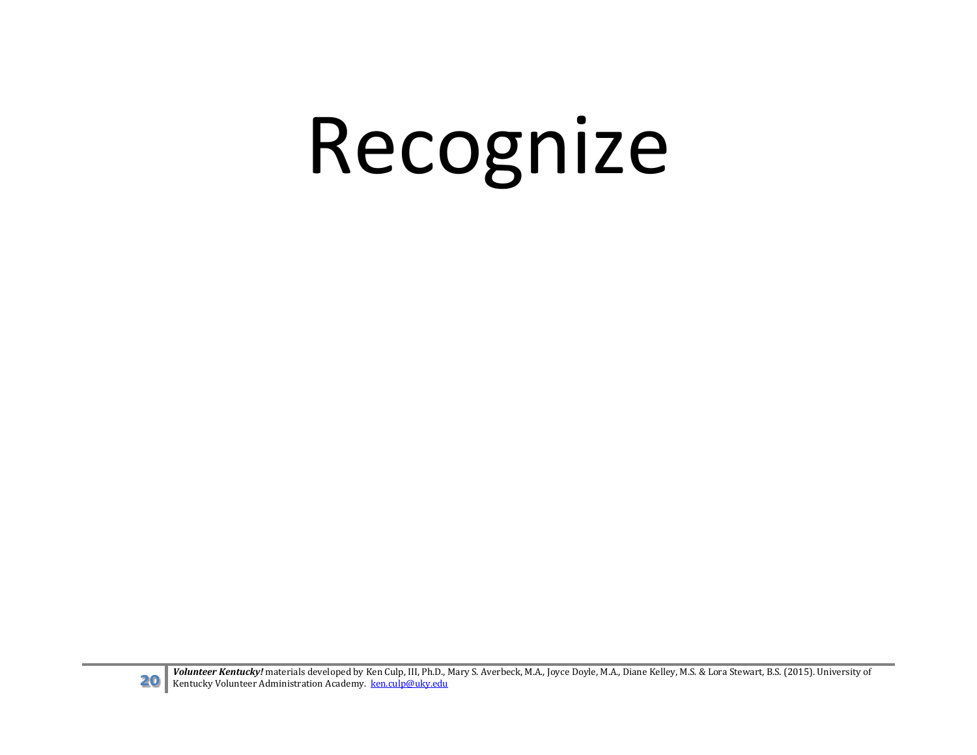## Recognize

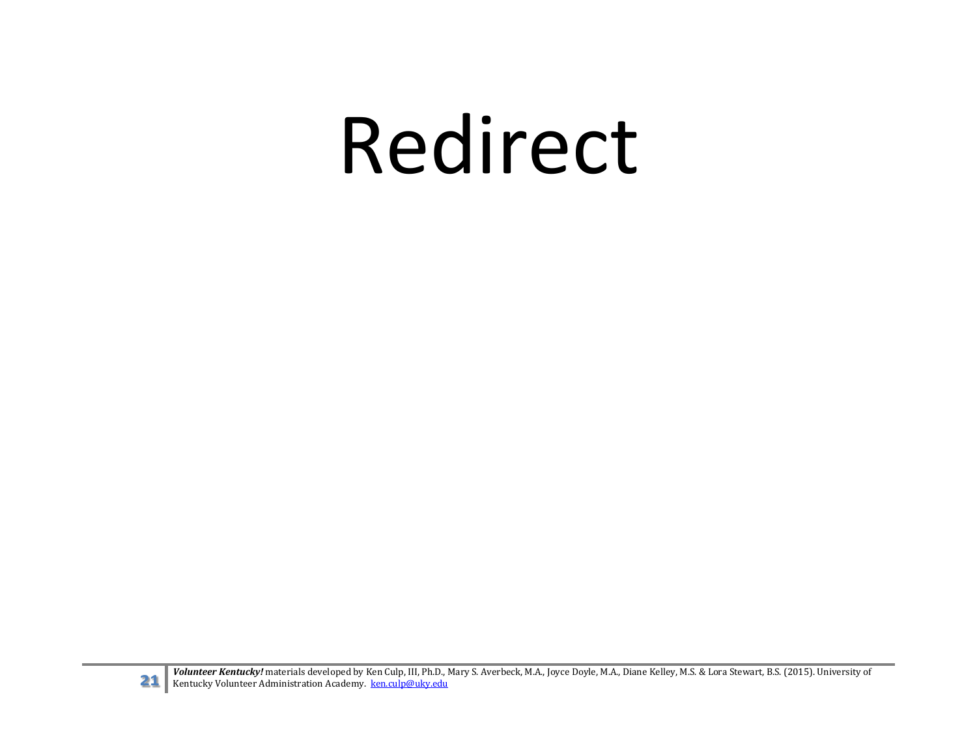### Redirect